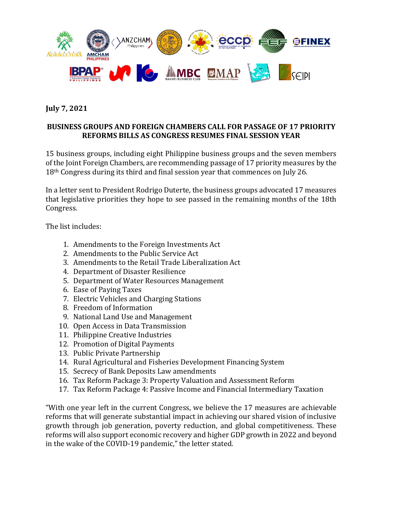

**July 7, 2021**

## **BUSINESS GROUPS AND FOREIGN CHAMBERS CALL FOR PASSAGE OF 17 PRIORITY REFORMS BILLS AS CONGRESS RESUMES FINAL SESSION YEAR**

15 business groups, including eight Philippine business groups and the seven members of the Joint Foreign Chambers, are recommending passage of 17 priority measures by the 18<sup>th</sup> Congress during its third and final session year that commences on July 26.

In a letter sent to President Rodrigo Duterte, the business groups advocated 17 measures that legislative priorities they hope to see passed in the remaining months of the 18th Congress.

The list includes:

- 1. Amendments to the Foreign Investments Act
- 2. Amendments to the Public Service Act
- 3. Amendments to the Retail Trade Liberalization Act
- 4. Department of Disaster Resilience
- 5. Department of Water Resources Management
- 6. Ease of Paying Taxes
- 7. Electric Vehicles and Charging Stations
- 8. Freedom of Information
- 9. National Land Use and Management
- 10. Open Access in Data Transmission
- 11. Philippine Creative Industries
- 12. Promotion of Digital Payments
- 13. Public Private Partnership
- 14. Rural Agricultural and Fisheries Development Financing System
- 15. Secrecy of Bank Deposits Law amendments
- 16. Tax Reform Package 3: Property Valuation and Assessment Reform
- 17. Tax Reform Package 4: Passive Income and Financial Intermediary Taxation

"With one year left in the current Congress, we believe the 17 measures are achievable reforms that will generate substantial impact in achieving our shared vision of inclusive growth through job generation, poverty reduction, and global competitiveness. These reforms will also support economic recovery and higher GDP growth in 2022 and beyond in the wake of the COVID-19 pandemic," the letter stated.